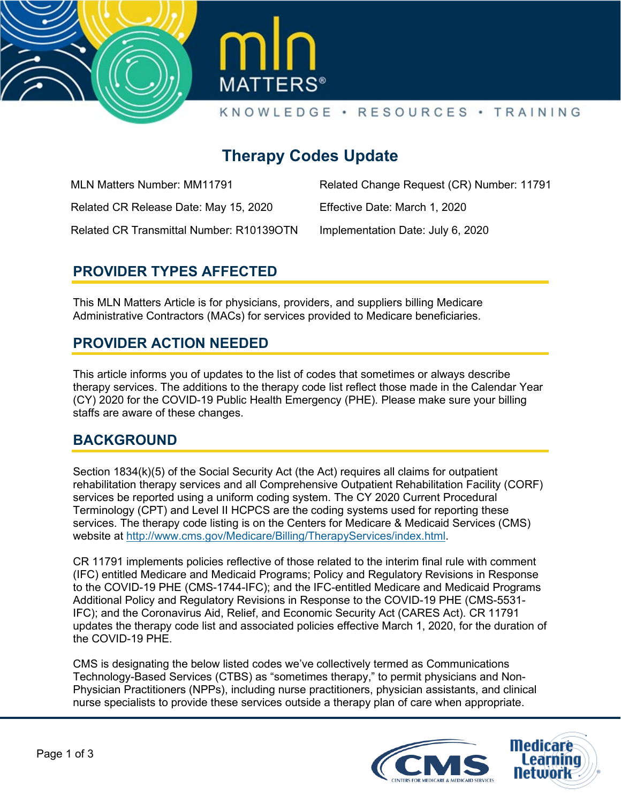



# **Therapy Codes Update**

MLN Matters Number: MM11791

Related CR Release Date: May 15, 2020

Related Change Request (CR) Number: 11791

Effective Date: March 1, 2020

Related CR Transmittal Number: R10139OTN

Implementation Date: July 6, 2020

## **PROVIDER TYPES AFFECTED**

This MLN Matters Article is for physicians, providers, and suppliers billing Medicare Administrative Contractors (MACs) for services provided to Medicare beneficiaries.

#### **PROVIDER ACTION NEEDED**

This article informs you of updates to the list of codes that sometimes or always describe therapy services. The additions to the therapy code list reflect those made in the Calendar Year (CY) 2020 for the COVID-19 Public Health Emergency (PHE). Please make sure your billing staffs are aware of these changes.

### **BACKGROUND**

Section 1834(k)(5) of the Social Security Act (the Act) requires all claims for outpatient rehabilitation therapy services and all Comprehensive Outpatient Rehabilitation Facility (CORF) services be reported using a uniform coding system. The CY 2020 Current Procedural Terminology (CPT) and Level II HCPCS are the coding systems used for reporting these services. The therapy code listing is on the Centers for Medicare & Medicaid Services (CMS) website at [http://www.cms.gov/Medicare/Billing/TherapyServices/index.html.](http://www.cms.gov/Medicare/Billing/TherapyServices/index.html)

CR 11791 implements policies reflective of those related to the interim final rule with comment (IFC) entitled Medicare and Medicaid Programs; Policy and Regulatory Revisions in Response to the COVID-19 PHE (CMS-1744-IFC); and the IFC-entitled Medicare and Medicaid Programs Additional Policy and Regulatory Revisions in Response to the COVID-19 PHE (CMS-5531- IFC); and the Coronavirus Aid, Relief, and Economic Security Act (CARES Act). CR 11791 updates the therapy code list and associated policies effective March 1, 2020, for the duration of the COVID-19 PHE.

CMS is designating the below listed codes we've collectively termed as Communications Technology-Based Services (CTBS) as "sometimes therapy," to permit physicians and Non-Physician Practitioners (NPPs), including nurse practitioners, physician assistants, and clinical nurse specialists to provide these services outside a therapy plan of care when appropriate.

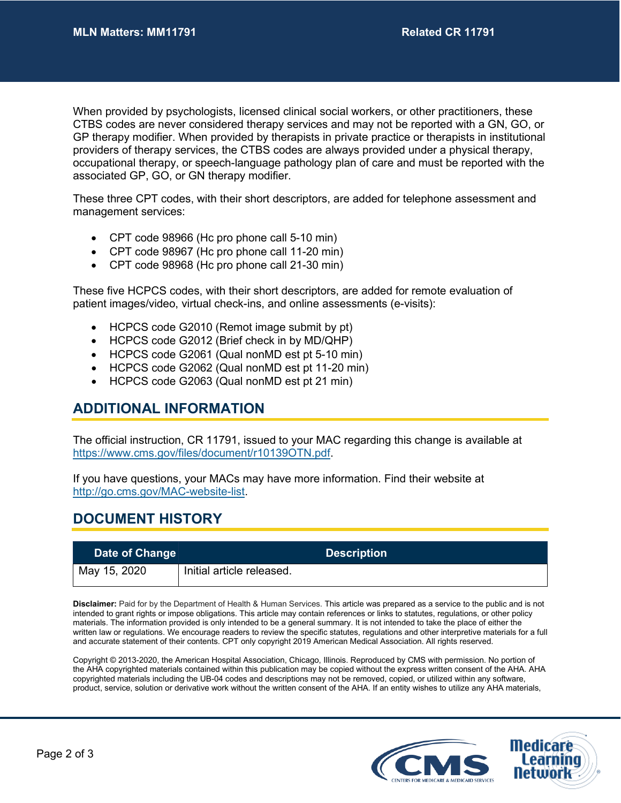When provided by psychologists, licensed clinical social workers, or other practitioners, these CTBS codes are never considered therapy services and may not be reported with a GN, GO, or GP therapy modifier. When provided by therapists in private practice or therapists in institutional providers of therapy services, the CTBS codes are always provided under a physical therapy, occupational therapy, or speech-language pathology plan of care and must be reported with the associated GP, GO, or GN therapy modifier.

These three CPT codes, with their short descriptors, are added for telephone assessment and management services:

- CPT code 98966 (Hc pro phone call 5-10 min)
- CPT code 98967 (Hc pro phone call 11-20 min)
- CPT code 98968 (Hc pro phone call 21-30 min)

These five HCPCS codes, with their short descriptors, are added for remote evaluation of patient images/video, virtual check-ins, and online assessments (e-visits):

- HCPCS code G2010 (Remot image submit by pt)
- HCPCS code G2012 (Brief check in by MD/QHP)
- HCPCS code G2061 (Qual nonMD est pt 5-10 min)
- HCPCS code G2062 (Qual nonMD est pt 11-20 min)
- HCPCS code G2063 (Qual nonMD est pt 21 min)

#### **ADDITIONAL INFORMATION**

The official instruction, CR 11791, issued to your MAC regarding this change is available at [https://www.cms.gov/files/document/r10139OTN.pdf.](https://www.cms.gov/files/document/r10139OTN.pdf)

If you have questions, your MACs may have more information. Find their website at [http://go.cms.gov/MAC-website-list.](http://go.cms.gov/MAC-website-list)

#### **DOCUMENT HISTORY**

| Date of Change |                           | <b>Description</b> |  |
|----------------|---------------------------|--------------------|--|
| May 15, 2020   | Initial article released. |                    |  |

**Disclaimer:** Paid for by the Department of Health & Human Services. This article was prepared as a service to the public and is not intended to grant rights or impose obligations. This article may contain references or links to statutes, regulations, or other policy materials. The information provided is only intended to be a general summary. It is not intended to take the place of either the written law or regulations. We encourage readers to review the specific statutes, regulations and other interpretive materials for a full and accurate statement of their contents. CPT only copyright 2019 American Medical Association. All rights reserved.

Copyright © 2013-2020, the American Hospital Association, Chicago, Illinois. Reproduced by CMS with permission. No portion of the AHA copyrighted materials contained within this publication may be copied without the express written consent of the AHA. AHA copyrighted materials including the UB-04 codes and descriptions may not be removed, copied, or utilized within any software, product, service, solution or derivative work without the written consent of the AHA. If an entity wishes to utilize any AHA materials,